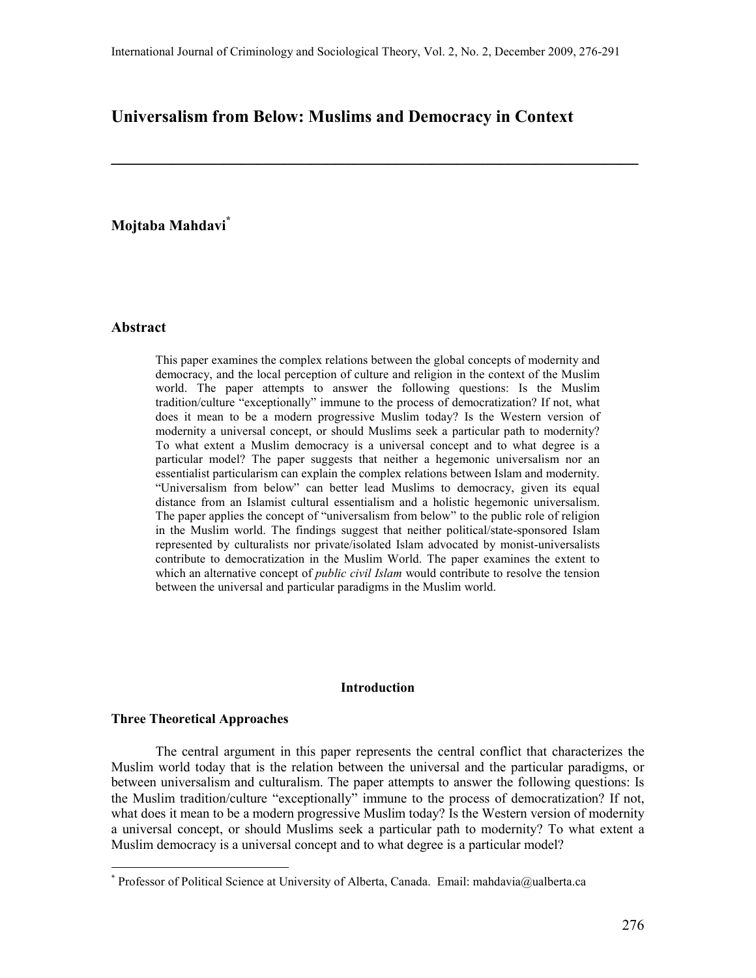**\_\_\_\_\_\_\_\_\_\_\_\_\_\_\_\_\_\_\_\_\_\_\_\_\_\_\_\_\_\_\_\_\_\_\_\_\_\_\_\_\_\_\_\_\_\_\_\_\_\_\_\_\_\_\_\_\_\_\_\_\_** 

## **Universalism from Below: Muslims and Democracy in Context**

# **Mojtaba Mahdavi\***

### **Abstract**

This paper examines the complex relations between the global concepts of modernity and democracy, and the local perception of culture and religion in the context of the Muslim world. The paper attempts to answer the following questions: Is the Muslim tradition/culture "exceptionally" immune to the process of democratization? If not, what does it mean to be a modern progressive Muslim today? Is the Western version of modernity a universal concept, or should Muslims seek a particular path to modernity? To what extent a Muslim democracy is a universal concept and to what degree is a particular model? The paper suggests that neither a hegemonic universalism nor an essentialist particularism can explain the complex relations between Islam and modernity. "Universalism from below" can better lead Muslims to democracy, given its equal distance from an Islamist cultural essentialism and a holistic hegemonic universalism. The paper applies the concept of "universalism from below" to the public role of religion in the Muslim world. The findings suggest that neither political/state-sponsored Islam represented by culturalists nor private/isolated Islam advocated by monist-universalists contribute to democratization in the Muslim World. The paper examines the extent to which an alternative concept of *public civil Islam* would contribute to resolve the tension between the universal and particular paradigms in the Muslim world.

### **Introduction**

#### **Three Theoretical Approaches**

 $\overline{a}$ 

The central argument in this paper represents the central conflict that characterizes the Muslim world today that is the relation between the universal and the particular paradigms, or between universalism and culturalism. The paper attempts to answer the following questions: Is the Muslim tradition/culture "exceptionally" immune to the process of democratization? If not, what does it mean to be a modern progressive Muslim today? Is the Western version of modernity a universal concept, or should Muslims seek a particular path to modernity? To what extent a Muslim democracy is a universal concept and to what degree is a particular model?

<sup>\*</sup> Professor of Political Science at University of Alberta, Canada. Email: mahdavia@ualberta.ca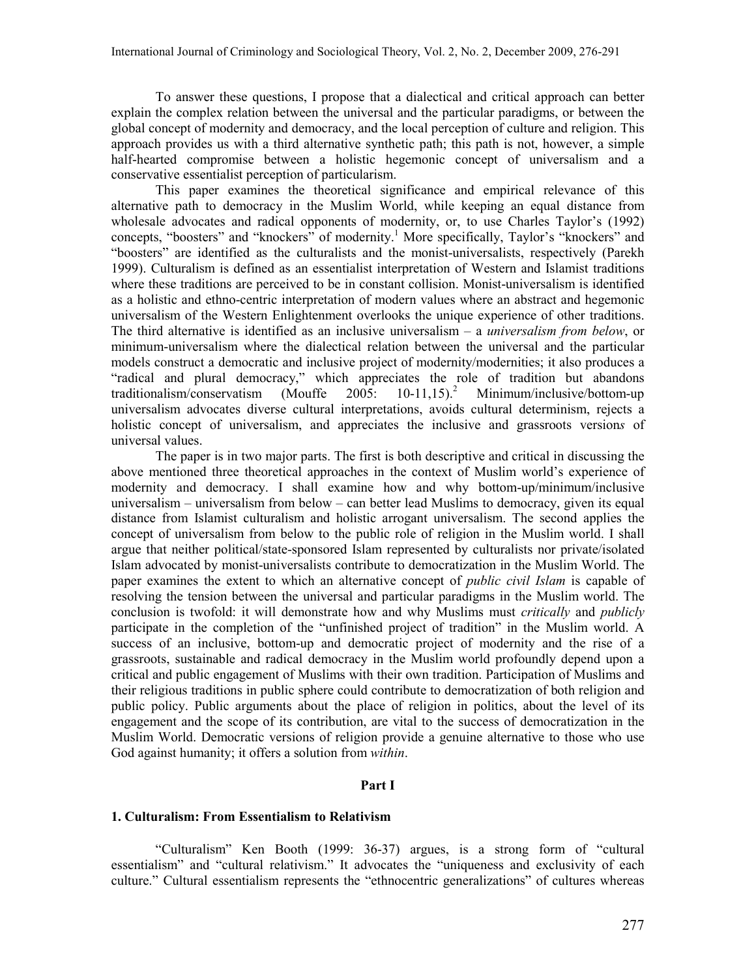To answer these questions, I propose that a dialectical and critical approach can better explain the complex relation between the universal and the particular paradigms, or between the global concept of modernity and democracy, and the local perception of culture and religion. This approach provides us with a third alternative synthetic path; this path is not, however, a simple half-hearted compromise between a holistic hegemonic concept of universalism and a conservative essentialist perception of particularism.

This paper examines the theoretical significance and empirical relevance of this alternative path to democracy in the Muslim World, while keeping an equal distance from wholesale advocates and radical opponents of modernity, or, to use Charles Taylor's (1992) concepts, "boosters" and "knockers" of modernity.<sup>[1](#page-13-0)</sup> More specifically, Taylor's "knockers" and "boosters" are identified as the culturalists and the monist-universalists, respectively (Parekh 1999). Culturalism is defined as an essentialist interpretation of Western and Islamist traditions where these traditions are perceived to be in constant collision. Monist-universalism is identified as a holistic and ethno-centric interpretation of modern values where an abstract and hegemonic universalism of the Western Enlightenment overlooks the unique experience of other traditions. The third alternative is identified as an inclusive universalism – a *universalism from below*, or minimum-universalism where the dialectical relation between the universal and the particular models construct a democratic and inclusive project of modernity/modernities; it also produces a "radical and plural democracy," which appreciates the role of tradition but abandons traditionalism/conservatism (Mouffe 2005: 10-11.15).<sup>2</sup> Minimum/inclusive/bottom-up traditionalism/conservatism (Mouffe 2005: Minimum/inclusive/bottom-up universalism advocates diverse cultural interpretations, avoids cultural determinism, rejects a holistic concept of universalism, and appreciates the inclusive and grassroots version*s* of universal values.

The paper is in two major parts. The first is both descriptive and critical in discussing the above mentioned three theoretical approaches in the context of Muslim world's experience of modernity and democracy. I shall examine how and why bottom-up/minimum/inclusive universalism – universalism from below – can better lead Muslims to democracy, given its equal distance from Islamist culturalism and holistic arrogant universalism. The second applies the concept of universalism from below to the public role of religion in the Muslim world. I shall argue that neither political/state-sponsored Islam represented by culturalists nor private/isolated Islam advocated by monist-universalists contribute to democratization in the Muslim World. The paper examines the extent to which an alternative concept of *public civil Islam* is capable of resolving the tension between the universal and particular paradigms in the Muslim world. The conclusion is twofold: it will demonstrate how and why Muslims must *critically* and *publicly* participate in the completion of the "unfinished project of tradition" in the Muslim world. A success of an inclusive, bottom-up and democratic project of modernity and the rise of a grassroots, sustainable and radical democracy in the Muslim world profoundly depend upon a critical and public engagement of Muslims with their own tradition. Participation of Muslims and their religious traditions in public sphere could contribute to democratization of both religion and public policy. Public arguments about the place of religion in politics, about the level of its engagement and the scope of its contribution, are vital to the success of democratization in the Muslim World. Democratic versions of religion provide a genuine alternative to those who use God against humanity; it offers a solution from *within*.

#### **Part I**

#### **1. Culturalism: From Essentialism to Relativism**

"Culturalism" Ken Booth (1999: 36-37) argues, is a strong form of "cultural essentialism" and "cultural relativism." It advocates the "uniqueness and exclusivity of each culture." Cultural essentialism represents the "ethnocentric generalizations" of cultures whereas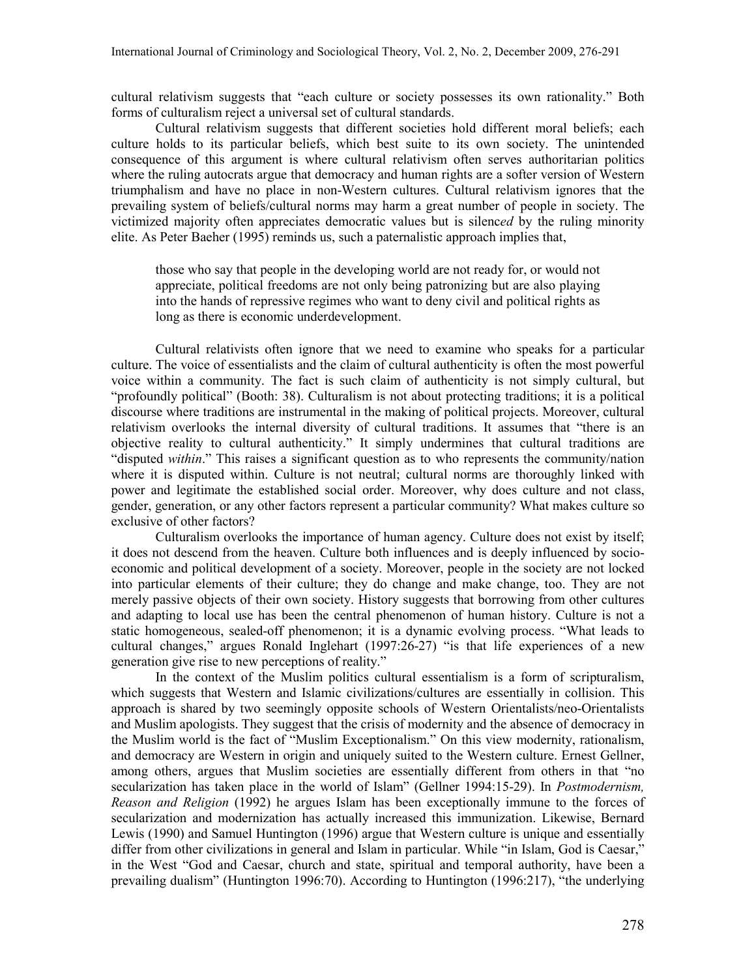cultural relativism suggests that "each culture or society possesses its own rationality." Both forms of culturalism reject a universal set of cultural standards.

Cultural relativism suggests that different societies hold different moral beliefs; each culture holds to its particular beliefs, which best suite to its own society. The unintended consequence of this argument is where cultural relativism often serves authoritarian politics where the ruling autocrats argue that democracy and human rights are a softer version of Western triumphalism and have no place in non-Western cultures. Cultural relativism ignores that the prevailing system of beliefs/cultural norms may harm a great number of people in society. The victimized majority often appreciates democratic values but is silenc*ed* by the ruling minority elite. As Peter Baeher (1995) reminds us, such a paternalistic approach implies that,

those who say that people in the developing world are not ready for, or would not appreciate, political freedoms are not only being patronizing but are also playing into the hands of repressive regimes who want to deny civil and political rights as long as there is economic underdevelopment.

Cultural relativists often ignore that we need to examine who speaks for a particular culture. The voice of essentialists and the claim of cultural authenticity is often the most powerful voice within a community. The fact is such claim of authenticity is not simply cultural, but "profoundly political" (Booth: 38). Culturalism is not about protecting traditions; it is a political discourse where traditions are instrumental in the making of political projects. Moreover, cultural relativism overlooks the internal diversity of cultural traditions. It assumes that "there is an objective reality to cultural authenticity." It simply undermines that cultural traditions are "disputed *within*." This raises a significant question as to who represents the community/nation where it is disputed within. Culture is not neutral; cultural norms are thoroughly linked with power and legitimate the established social order. Moreover, why does culture and not class, gender, generation, or any other factors represent a particular community? What makes culture so exclusive of other factors?

Culturalism overlooks the importance of human agency. Culture does not exist by itself; it does not descend from the heaven. Culture both influences and is deeply influenced by socioeconomic and political development of a society. Moreover, people in the society are not locked into particular elements of their culture; they do change and make change, too. They are not merely passive objects of their own society. History suggests that borrowing from other cultures and adapting to local use has been the central phenomenon of human history. Culture is not a static homogeneous, sealed-off phenomenon; it is a dynamic evolving process. "What leads to cultural changes," argues Ronald Inglehart (1997:26-27) "is that life experiences of a new generation give rise to new perceptions of reality."

In the context of the Muslim politics cultural essentialism is a form of scripturalism, which suggests that Western and Islamic civilizations/cultures are essentially in collision. This approach is shared by two seemingly opposite schools of Western Orientalists/neo-Orientalists and Muslim apologists. They suggest that the crisis of modernity and the absence of democracy in the Muslim world is the fact of "Muslim Exceptionalism." On this view modernity, rationalism, and democracy are Western in origin and uniquely suited to the Western culture. Ernest Gellner, among others, argues that Muslim societies are essentially different from others in that "no secularization has taken place in the world of Islam" (Gellner 1994:15-29). In *Postmodernism, Reason and Religion* (1992) he argues Islam has been exceptionally immune to the forces of secularization and modernization has actually increased this immunization. Likewise, Bernard Lewis (1990) and Samuel Huntington (1996) argue that Western culture is unique and essentially differ from other civilizations in general and Islam in particular. While "in Islam, God is Caesar," in the West "God and Caesar, church and state, spiritual and temporal authority, have been a prevailing dualism" (Huntington 1996:70). According to Huntington (1996:217), "the underlying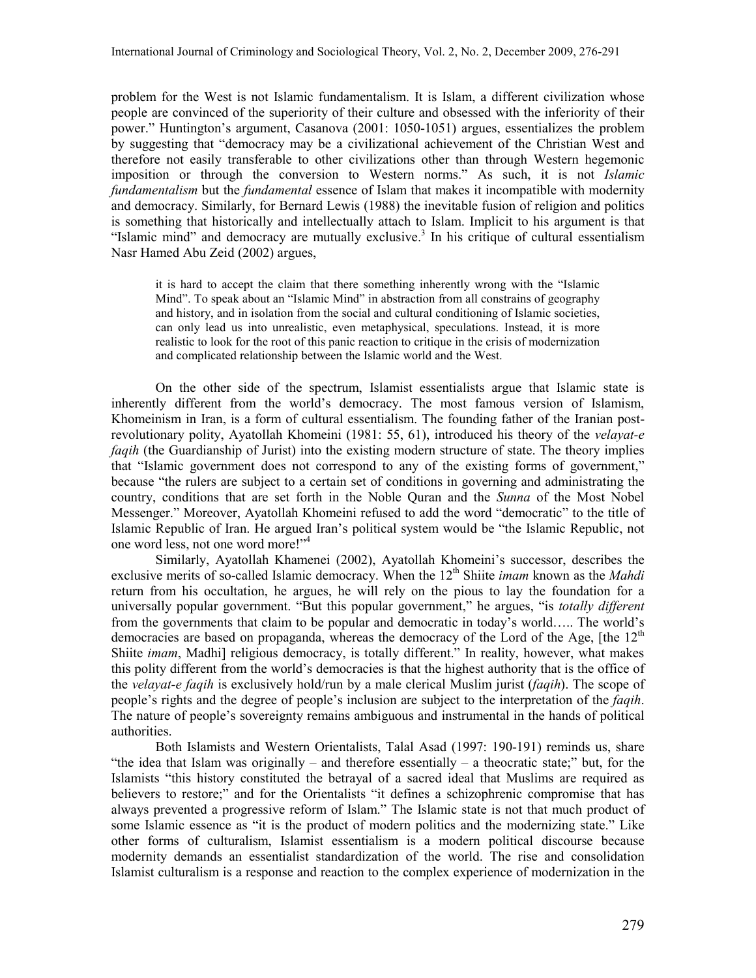problem for the West is not Islamic fundamentalism. It is Islam, a different civilization whose people are convinced of the superiority of their culture and obsessed with the inferiority of their power." Huntington's argument, Casanova (2001: 1050-1051) argues, essentializes the problem by suggesting that "democracy may be a civilizational achievement of the Christian West and therefore not easily transferable to other civilizations other than through Western hegemonic imposition or through the conversion to Western norms." As such, it is not *Islamic fundamentalism* but the *fundamental* essence of Islam that makes it incompatible with modernity and democracy. Similarly, for Bernard Lewis (1988) the inevitable fusion of religion and politics is something that historically and intellectually attach to Islam. Implicit to his argument is that "Islamic mind" and democracy are mutually exclusive.<sup>[3](#page-13-0)</sup> In his critique of cultural essentialism Nasr Hamed Abu Zeid (2002) argues,

it is hard to accept the claim that there something inherently wrong with the "Islamic Mind". To speak about an "Islamic Mind" in abstraction from all constrains of geography and history, and in isolation from the social and cultural conditioning of Islamic societies, can only lead us into unrealistic, even metaphysical, speculations. Instead, it is more realistic to look for the root of this panic reaction to critique in the crisis of modernization and complicated relationship between the Islamic world and the West.

On the other side of the spectrum, Islamist essentialists argue that Islamic state is inherently different from the world's democracy. The most famous version of Islamism, Khomeinism in Iran, is a form of cultural essentialism. The founding father of the Iranian postrevolutionary polity, Ayatollah Khomeini (1981: 55, 61), introduced his theory of the *velayat-e faqih* (the Guardianship of Jurist) into the existing modern structure of state. The theory implies that "Islamic government does not correspond to any of the existing forms of government," because "the rulers are subject to a certain set of conditions in governing and administrating the country, conditions that are set forth in the Noble Quran and the *Sunna* of the Most Nobel Messenger." Moreover, Ayatollah Khomeini refused to add the word "democratic" to the title of Islamic Republic of Iran. He argued Iran's political system would be "the Islamic Republic, not one word less, not one word more!["](#page-13-0)<sup>4</sup>

Similarly, Ayatollah Khamenei (2002), Ayatollah Khomeini's successor, describes the exclusive merits of so-called Islamic democracy. When the 12<sup>th</sup> Shiite *imam* known as the *Mahdi* return from his occultation, he argues, he will rely on the pious to lay the foundation for a universally popular government. "But this popular government," he argues, "is *totally different* from the governments that claim to be popular and democratic in today's world….. The world's democracies are based on propaganda, whereas the democracy of the Lord of the Age, [the  $12<sup>th</sup>$ Shiite *imam*, Madhi] religious democracy, is totally different." In reality, however, what makes this polity different from the world's democracies is that the highest authority that is the office of the *velayat-e faqih* is exclusively hold/run by a male clerical Muslim jurist (*faqih*). The scope of people's rights and the degree of people's inclusion are subject to the interpretation of the *faqih*. The nature of people's sovereignty remains ambiguous and instrumental in the hands of political authorities.

Both Islamists and Western Orientalists, Talal Asad (1997: 190-191) reminds us, share "the idea that Islam was originally – and therefore essentially – a theocratic state;" but, for the Islamists "this history constituted the betrayal of a sacred ideal that Muslims are required as believers to restore;" and for the Orientalists "it defines a schizophrenic compromise that has always prevented a progressive reform of Islam." The Islamic state is not that much product of some Islamic essence as "it is the product of modern politics and the modernizing state." Like other forms of culturalism, Islamist essentialism is a modern political discourse because modernity demands an essentialist standardization of the world. The rise and consolidation Islamist culturalism is a response and reaction to the complex experience of modernization in the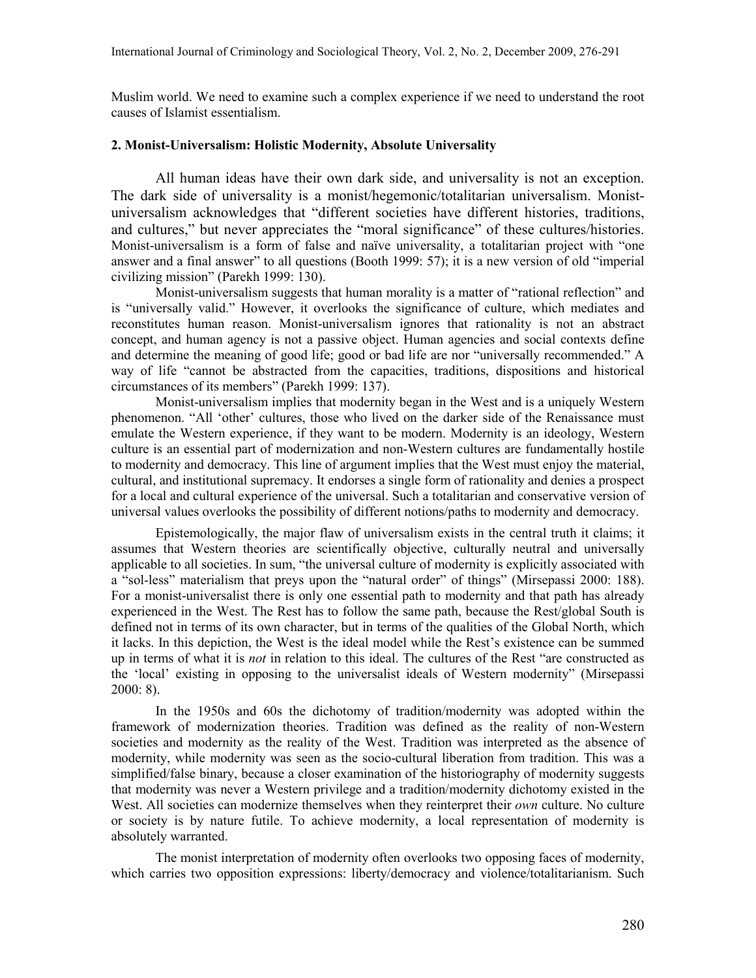Muslim world. We need to examine such a complex experience if we need to understand the root causes of Islamist essentialism.

### **2. Monist-Universalism: Holistic Modernity, Absolute Universality**

All human ideas have their own dark side, and universality is not an exception. The dark side of universality is a monist/hegemonic/totalitarian universalism. Monistuniversalism acknowledges that "different societies have different histories, traditions, and cultures," but never appreciates the "moral significance" of these cultures/histories. Monist-universalism is a form of false and naïve universality, a totalitarian project with "one answer and a final answer" to all questions (Booth 1999: 57); it is a new version of old "imperial civilizing mission" (Parekh 1999: 130).

Monist-universalism suggests that human morality is a matter of "rational reflection" and is "universally valid." However, it overlooks the significance of culture, which mediates and reconstitutes human reason. Monist-universalism ignores that rationality is not an abstract concept, and human agency is not a passive object. Human agencies and social contexts define and determine the meaning of good life; good or bad life are nor "universally recommended." A way of life "cannot be abstracted from the capacities, traditions, dispositions and historical circumstances of its members" (Parekh 1999: 137).

Monist-universalism implies that modernity began in the West and is a uniquely Western phenomenon. "All 'other' cultures, those who lived on the darker side of the Renaissance must emulate the Western experience, if they want to be modern. Modernity is an ideology, Western culture is an essential part of modernization and non-Western cultures are fundamentally hostile to modernity and democracy. This line of argument implies that the West must enjoy the material, cultural, and institutional supremacy. It endorses a single form of rationality and denies a prospect for a local and cultural experience of the universal. Such a totalitarian and conservative version of universal values overlooks the possibility of different notions/paths to modernity and democracy.

Epistemologically, the major flaw of universalism exists in the central truth it claims; it assumes that Western theories are scientifically objective, culturally neutral and universally applicable to all societies. In sum, "the universal culture of modernity is explicitly associated with a "sol-less" materialism that preys upon the "natural order" of things" (Mirsepassi 2000: 188). For a monist-universalist there is only one essential path to modernity and that path has already experienced in the West. The Rest has to follow the same path, because the Rest/global South is defined not in terms of its own character, but in terms of the qualities of the Global North, which it lacks. In this depiction, the West is the ideal model while the Rest's existence can be summed up in terms of what it is *not* in relation to this ideal. The cultures of the Rest "are constructed as the 'local' existing in opposing to the universalist ideals of Western modernity" (Mirsepassi 2000: 8).

In the 1950s and 60s the dichotomy of tradition/modernity was adopted within the framework of modernization theories. Tradition was defined as the reality of non-Western societies and modernity as the reality of the West. Tradition was interpreted as the absence of modernity, while modernity was seen as the socio-cultural liberation from tradition. This was a simplified/false binary, because a closer examination of the historiography of modernity suggests that modernity was never a Western privilege and a tradition/modernity dichotomy existed in the West. All societies can modernize themselves when they reinterpret their *own* culture. No culture or society is by nature futile. To achieve modernity, a local representation of modernity is absolutely warranted.

The monist interpretation of modernity often overlooks two opposing faces of modernity, which carries two opposition expressions: liberty/democracy and violence/totalitarianism. Such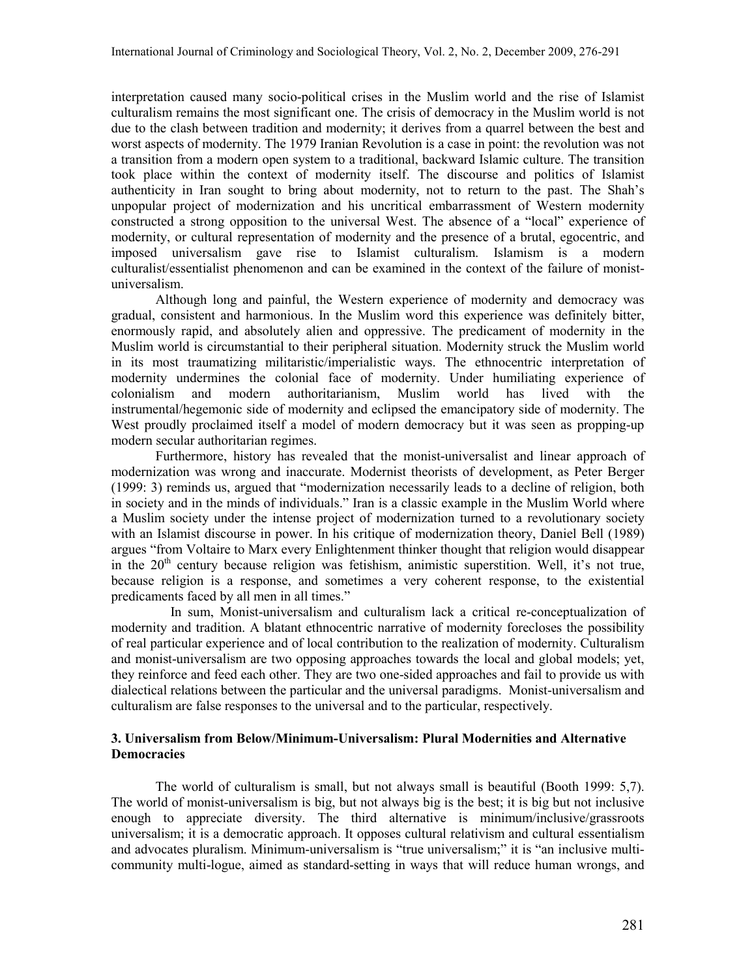interpretation caused many socio-political crises in the Muslim world and the rise of Islamist culturalism remains the most significant one. The crisis of democracy in the Muslim world is not due to the clash between tradition and modernity; it derives from a quarrel between the best and worst aspects of modernity. The 1979 Iranian Revolution is a case in point: the revolution was not a transition from a modern open system to a traditional, backward Islamic culture. The transition took place within the context of modernity itself. The discourse and politics of Islamist authenticity in Iran sought to bring about modernity, not to return to the past. The Shah's unpopular project of modernization and his uncritical embarrassment of Western modernity constructed a strong opposition to the universal West. The absence of a "local" experience of modernity, or cultural representation of modernity and the presence of a brutal, egocentric, and imposed universalism gave rise to Islamist culturalism. Islamism is a modern culturalist/essentialist phenomenon and can be examined in the context of the failure of monistuniversalism.

Although long and painful, the Western experience of modernity and democracy was gradual, consistent and harmonious. In the Muslim word this experience was definitely bitter, enormously rapid, and absolutely alien and oppressive. The predicament of modernity in the Muslim world is circumstantial to their peripheral situation. Modernity struck the Muslim world in its most traumatizing militaristic/imperialistic ways. The ethnocentric interpretation of modernity undermines the colonial face of modernity. Under humiliating experience of colonialism and modern authoritarianism, Muslim world has lived with the instrumental/hegemonic side of modernity and eclipsed the emancipatory side of modernity. The West proudly proclaimed itself a model of modern democracy but it was seen as propping-up modern secular authoritarian regimes.

Furthermore, history has revealed that the monist-universalist and linear approach of modernization was wrong and inaccurate. Modernist theorists of development, as Peter Berger (1999: 3) reminds us, argued that "modernization necessarily leads to a decline of religion, both in society and in the minds of individuals." Iran is a classic example in the Muslim World where a Muslim society under the intense project of modernization turned to a revolutionary society with an Islamist discourse in power. In his critique of modernization theory, Daniel Bell (1989) argues "from Voltaire to Marx every Enlightenment thinker thought that religion would disappear in the  $20<sup>th</sup>$  century because religion was fetishism, animistic superstition. Well, it's not true, because religion is a response, and sometimes a very coherent response, to the existential predicaments faced by all men in all times."

 In sum, Monist-universalism and culturalism lack a critical re-conceptualization of modernity and tradition. A blatant ethnocentric narrative of modernity forecloses the possibility of real particular experience and of local contribution to the realization of modernity. Culturalism and monist-universalism are two opposing approaches towards the local and global models; yet, they reinforce and feed each other. They are two one-sided approaches and fail to provide us with dialectical relations between the particular and the universal paradigms. Monist-universalism and culturalism are false responses to the universal and to the particular, respectively.

### **3. Universalism from Below/Minimum-Universalism: Plural Modernities and Alternative Democracies**

The world of culturalism is small, but not always small is beautiful (Booth 1999: 5,7). The world of monist-universalism is big, but not always big is the best; it is big but not inclusive enough to appreciate diversity. The third alternative is minimum/inclusive/grassroots universalism; it is a democratic approach. It opposes cultural relativism and cultural essentialism and advocates pluralism. Minimum-universalism is "true universalism;" it is "an inclusive multicommunity multi-logue, aimed as standard-setting in ways that will reduce human wrongs, and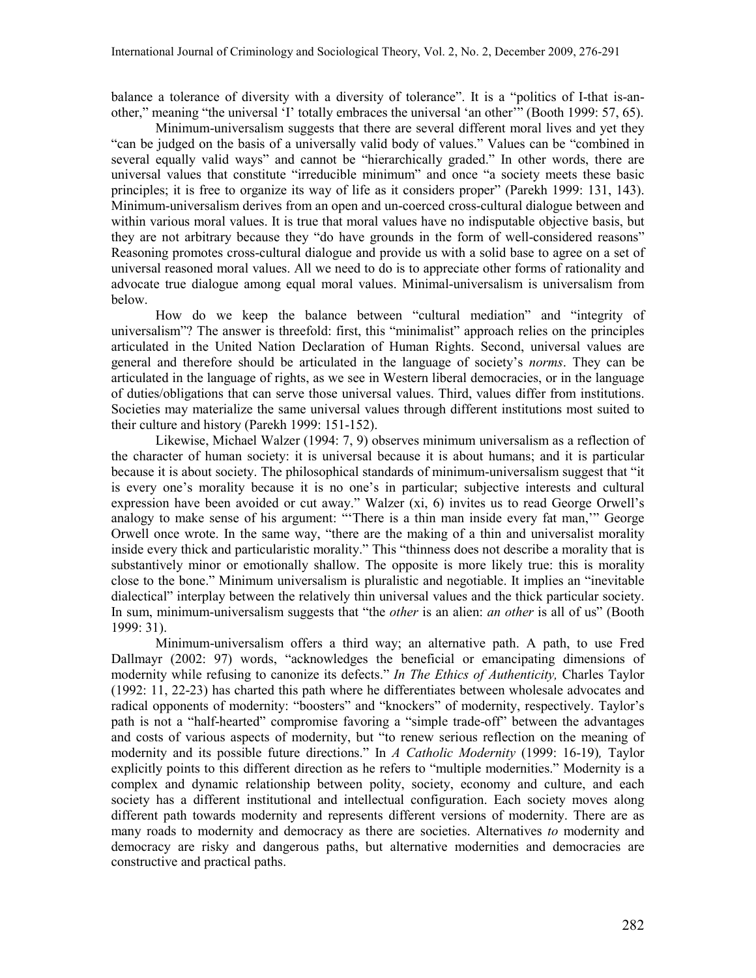balance a tolerance of diversity with a diversity of tolerance". It is a "politics of I-that is-another," meaning "the universal 'I' totally embraces the universal 'an other'" (Booth 1999: 57, 65).

Minimum-universalism suggests that there are several different moral lives and yet they "can be judged on the basis of a universally valid body of values." Values can be "combined in several equally valid ways" and cannot be "hierarchically graded." In other words, there are universal values that constitute "irreducible minimum" and once "a society meets these basic principles; it is free to organize its way of life as it considers proper" (Parekh 1999: 131, 143). Minimum-universalism derives from an open and un-coerced cross-cultural dialogue between and within various moral values. It is true that moral values have no indisputable objective basis, but they are not arbitrary because they "do have grounds in the form of well-considered reasons" Reasoning promotes cross-cultural dialogue and provide us with a solid base to agree on a set of universal reasoned moral values. All we need to do is to appreciate other forms of rationality and advocate true dialogue among equal moral values. Minimal-universalism is universalism from below.

How do we keep the balance between "cultural mediation" and "integrity of universalism"? The answer is threefold: first, this "minimalist" approach relies on the principles articulated in the United Nation Declaration of Human Rights. Second, universal values are general and therefore should be articulated in the language of society's *norms*. They can be articulated in the language of rights, as we see in Western liberal democracies, or in the language of duties/obligations that can serve those universal values. Third, values differ from institutions. Societies may materialize the same universal values through different institutions most suited to their culture and history (Parekh 1999: 151-152).

Likewise, Michael Walzer (1994: 7, 9) observes minimum universalism as a reflection of the character of human society: it is universal because it is about humans; and it is particular because it is about society. The philosophical standards of minimum-universalism suggest that "it is every one's morality because it is no one's in particular; subjective interests and cultural expression have been avoided or cut away." Walzer (xi, 6) invites us to read George Orwell's analogy to make sense of his argument: "'There is a thin man inside every fat man,'" George Orwell once wrote. In the same way, "there are the making of a thin and universalist morality inside every thick and particularistic morality." This "thinness does not describe a morality that is substantively minor or emotionally shallow. The opposite is more likely true: this is morality close to the bone." Minimum universalism is pluralistic and negotiable. It implies an "inevitable dialectical" interplay between the relatively thin universal values and the thick particular society. In sum, minimum-universalism suggests that "the *other* is an alien: *an other* is all of us" (Booth 1999: 31).

Minimum-universalism offers a third way; an alternative path. A path, to use Fred Dallmayr (2002: 97) words, "acknowledges the beneficial or emancipating dimensions of modernity while refusing to canonize its defects." *In The Ethics of Authenticity,* Charles Taylor (1992: 11, 22-23) has charted this path where he differentiates between wholesale advocates and radical opponents of modernity: "boosters" and "knockers" of modernity, respectively. Taylor's path is not a "half-hearted" compromise favoring a "simple trade-off" between the advantages and costs of various aspects of modernity, but "to renew serious reflection on the meaning of modernity and its possible future directions." In *A Catholic Modernity* (1999: 16-19)*,* Taylor explicitly points to this different direction as he refers to "multiple modernities." Modernity is a complex and dynamic relationship between polity, society, economy and culture, and each society has a different institutional and intellectual configuration. Each society moves along different path towards modernity and represents different versions of modernity. There are as many roads to modernity and democracy as there are societies. Alternatives *to* modernity and democracy are risky and dangerous paths, but alternative modernities and democracies are constructive and practical paths.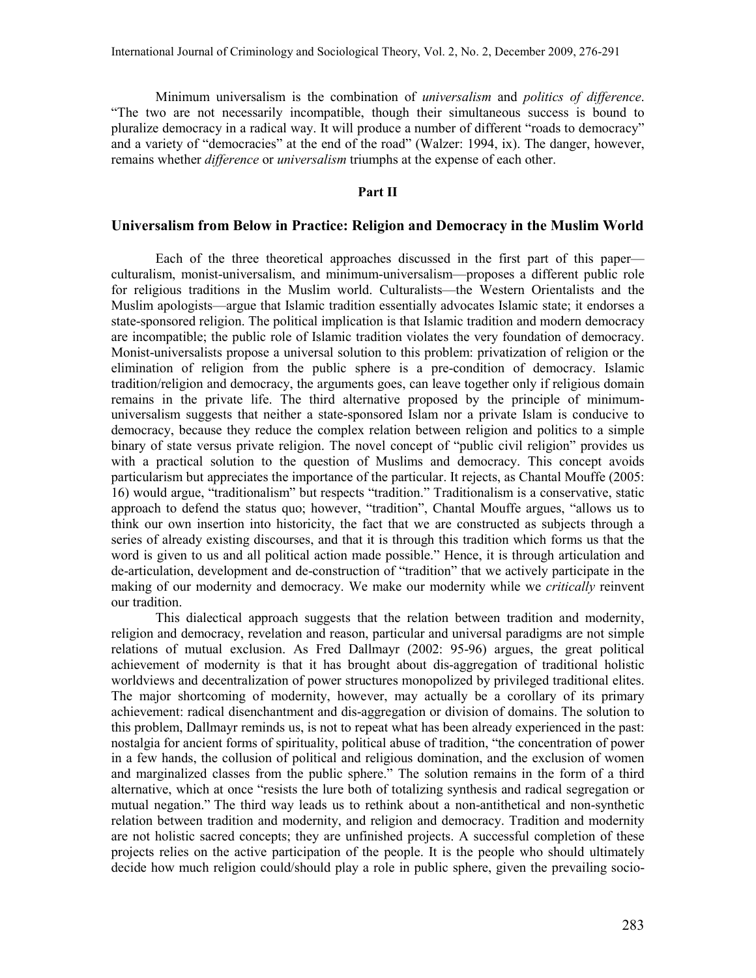Minimum universalism is the combination of *universalism* and *politics of difference*. "The two are not necessarily incompatible, though their simultaneous success is bound to pluralize democracy in a radical way. It will produce a number of different "roads to democracy" and a variety of "democracies" at the end of the road" (Walzer: 1994, ix). The danger, however, remains whether *difference* or *universalism* triumphs at the expense of each other.

### **Part II**

### **Universalism from Below in Practice: Religion and Democracy in the Muslim World**

Each of the three theoretical approaches discussed in the first part of this paper culturalism, monist-universalism, and minimum-universalism—proposes a different public role for religious traditions in the Muslim world. Culturalists—the Western Orientalists and the Muslim apologists—argue that Islamic tradition essentially advocates Islamic state; it endorses a state-sponsored religion. The political implication is that Islamic tradition and modern democracy are incompatible; the public role of Islamic tradition violates the very foundation of democracy. Monist-universalists propose a universal solution to this problem: privatization of religion or the elimination of religion from the public sphere is a pre-condition of democracy. Islamic tradition/religion and democracy, the arguments goes, can leave together only if religious domain remains in the private life. The third alternative proposed by the principle of minimumuniversalism suggests that neither a state-sponsored Islam nor a private Islam is conducive to democracy, because they reduce the complex relation between religion and politics to a simple binary of state versus private religion. The novel concept of "public civil religion" provides us with a practical solution to the question of Muslims and democracy. This concept avoids particularism but appreciates the importance of the particular. It rejects, as Chantal Mouffe (2005: 16) would argue, "traditionalism" but respects "tradition." Traditionalism is a conservative, static approach to defend the status quo; however, "tradition", Chantal Mouffe argues, "allows us to think our own insertion into historicity, the fact that we are constructed as subjects through a series of already existing discourses, and that it is through this tradition which forms us that the word is given to us and all political action made possible." Hence, it is through articulation and de-articulation, development and de-construction of "tradition" that we actively participate in the making of our modernity and democracy. We make our modernity while we *critically* reinvent our tradition.

This dialectical approach suggests that the relation between tradition and modernity, religion and democracy, revelation and reason, particular and universal paradigms are not simple relations of mutual exclusion. As Fred Dallmayr (2002: 95-96) argues, the great political achievement of modernity is that it has brought about dis-aggregation of traditional holistic worldviews and decentralization of power structures monopolized by privileged traditional elites. The major shortcoming of modernity, however, may actually be a corollary of its primary achievement: radical disenchantment and dis-aggregation or division of domains. The solution to this problem, Dallmayr reminds us, is not to repeat what has been already experienced in the past: nostalgia for ancient forms of spirituality, political abuse of tradition, "the concentration of power in a few hands, the collusion of political and religious domination, and the exclusion of women and marginalized classes from the public sphere." The solution remains in the form of a third alternative, which at once "resists the lure both of totalizing synthesis and radical segregation or mutual negation." The third way leads us to rethink about a non-antithetical and non-synthetic relation between tradition and modernity, and religion and democracy. Tradition and modernity are not holistic sacred concepts; they are unfinished projects. A successful completion of these projects relies on the active participation of the people. It is the people who should ultimately decide how much religion could/should play a role in public sphere, given the prevailing socio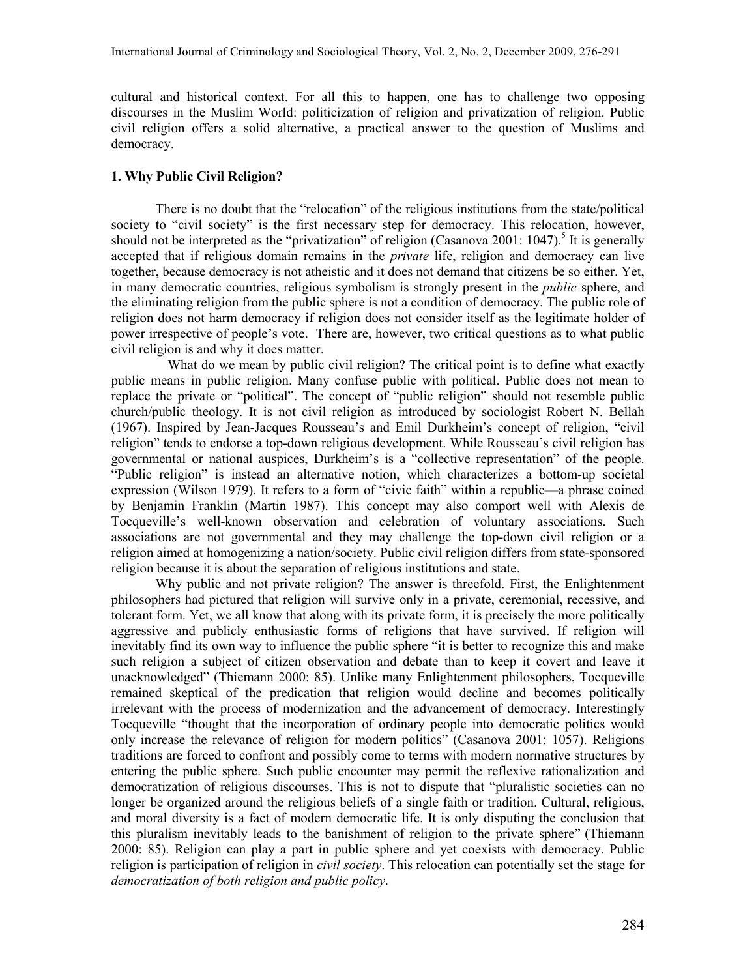cultural and historical context. For all this to happen, one has to challenge two opposing discourses in the Muslim World: politicization of religion and privatization of religion. Public civil religion offers a solid alternative, a practical answer to the question of Muslims and democracy.

## **1. Why Public Civil Religion?**

There is no doubt that the "relocation" of the religious institutions from the state/political society to "civil society" is the first necessary step for democracy. This relocation, however, shouldnot be interpreted as the "privatization" of religion (Casanova 2001: 1047).<sup>5</sup> It is generally accepted that if religious domain remains in the *private* life, religion and democracy can live together, because democracy is not atheistic and it does not demand that citizens be so either. Yet, in many democratic countries, religious symbolism is strongly present in the *public* sphere, and the eliminating religion from the public sphere is not a condition of democracy. The public role of religion does not harm democracy if religion does not consider itself as the legitimate holder of power irrespective of people's vote. There are, however, two critical questions as to what public civil religion is and why it does matter.

What do we mean by public civil religion? The critical point is to define what exactly public means in public religion. Many confuse public with political. Public does not mean to replace the private or "political". The concept of "public religion" should not resemble public church/public theology. It is not civil religion as introduced by sociologist Robert N. Bellah (1967). Inspired by Jean-Jacques Rousseau's and Emil Durkheim's concept of religion, "civil religion" tends to endorse a top-down religious development. While Rousseau's civil religion has governmental or national auspices, Durkheim's is a "collective representation" of the people. "Public religion" is instead an alternative notion, which characterizes a bottom-up societal expression (Wilson 1979). It refers to a form of "civic faith" within a republic—a phrase coined by Benjamin Franklin (Martin 1987). This concept may also comport well with Alexis de Tocqueville's well-known observation and celebration of voluntary associations. Such associations are not governmental and they may challenge the top-down civil religion or a religion aimed at homogenizing a nation/society. Public civil religion differs from state-sponsored religion because it is about the separation of religious institutions and state.

Why public and not private religion? The answer is threefold. First, the Enlightenment philosophers had pictured that religion will survive only in a private, ceremonial, recessive, and tolerant form. Yet, we all know that along with its private form, it is precisely the more politically aggressive and publicly enthusiastic forms of religions that have survived. If religion will inevitably find its own way to influence the public sphere "it is better to recognize this and make such religion a subject of citizen observation and debate than to keep it covert and leave it unacknowledged" (Thiemann 2000: 85). Unlike many Enlightenment philosophers, Tocqueville remained skeptical of the predication that religion would decline and becomes politically irrelevant with the process of modernization and the advancement of democracy. Interestingly Tocqueville "thought that the incorporation of ordinary people into democratic politics would only increase the relevance of religion for modern politics" (Casanova 2001: 1057). Religions traditions are forced to confront and possibly come to terms with modern normative structures by entering the public sphere. Such public encounter may permit the reflexive rationalization and democratization of religious discourses. This is not to dispute that "pluralistic societies can no longer be organized around the religious beliefs of a single faith or tradition. Cultural, religious, and moral diversity is a fact of modern democratic life. It is only disputing the conclusion that this pluralism inevitably leads to the banishment of religion to the private sphere" (Thiemann 2000: 85). Religion can play a part in public sphere and yet coexists with democracy. Public religion is participation of religion in *civil society*. This relocation can potentially set the stage for *democratization of both religion and public policy*.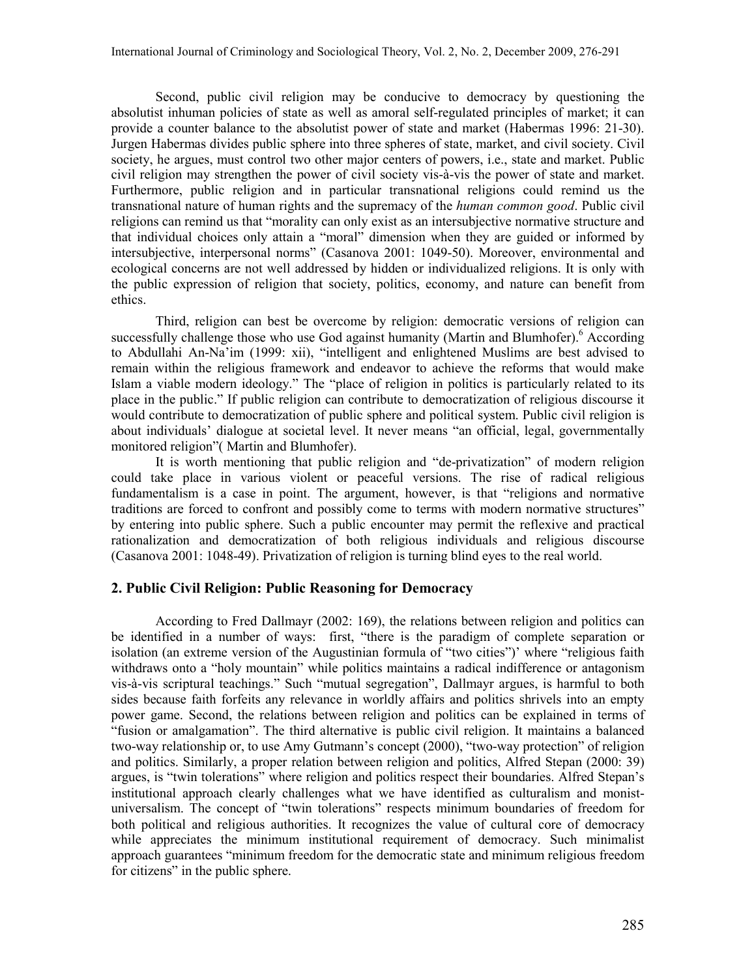Second, public civil religion may be conducive to democracy by questioning the absolutist inhuman policies of state as well as amoral self-regulated principles of market; it can provide a counter balance to the absolutist power of state and market (Habermas 1996: 21-30). Jurgen Habermas divides public sphere into three spheres of state, market, and civil society. Civil society, he argues, must control two other major centers of powers, i.e., state and market. Public civil religion may strengthen the power of civil society vis-à-vis the power of state and market. Furthermore, pub[lic religion and in particular transnational religions could remind us t](http://marty-center.uchicago.edu/research/publicreligion_today.shtml#public)he transnational nature of human rights and the supremacy of the *human common good*. Public civil religions can remind us that "morality can only exist as an intersubjective normative structure and that individual choices only attain a "moral" dimension when they are guided or informed by intersubjective, interpersonal norms" (Casanova 2001: 1049-50). Moreover, environmental and ecological concerns are not well addressed by hidden or individualized religions. It is only with the public expression of religion that society, politics, economy, and nature can benefit from ethics.

Third, religion can best be overcome by religion: democratic versions of religion can successfullychallenge those who use God against humanity (Martin and Blumhofer). According to Abdullahi An-Na'im (1999: xii), "intelligent and enlightened Muslims are best advised to remain within the religious framework and endeavor to achieve the reforms that would make Islam a viable modern ideology." The "place of religion in politics is particularly related to its place in the public." If public religion can contribute to democratization of religious discourse it would contribute to democratization of public sphere and political system. Public civil religion is about individuals' dialogue at societal level. It never means "an official, legal, governmentally monitored religion"( Martin and Blumhofer).

It is worth mentioning that public religion and "de-privatization" of modern religion could take place in various violent or peaceful versions. The rise of radical religious fundamentalism is a case in point. The argument, however, is that "religions and normative traditions are forced to confront and possibly come to terms with modern normative structures" by entering into public sphere. Such a public encounter may permit the reflexive and practical rationalization and democratization of both religious individuals and religious discourse (Casanova 2001: 1048-49). Privatization of religion is turning blind eyes to the real world.

### **2. Public Civil Religion: Public Reasoning for Democracy**

 According to Fred Dallmayr (2002: 169), the relations between religion and politics can be identified in a number of ways: first, "there is the paradigm of complete separation or isolation (an extreme version of the Augustinian formula of "two cities")' where "religious faith withdraws onto a "holy mountain" while politics maintains a radical indifference or antagonism vis-à-vis scriptural teachings." Such "mutual segregation", Dallmayr argues, is harmful to both sides because faith forfeits any relevance in worldly affairs and politics shrivels into an empty power game. Second, the relations between religion and politics can be explained in terms of "fusion or amalgamation". The third alternative is public civil religion. It maintains a balanced two-way relationship or, to use Amy Gutmann's concept (2000), "two-way protection" of religion and politics. Similarly, a proper relation between religion and politics, Alfred Stepan (2000: 39) argues, is "twin tolerations" where religion and politics respect their boundaries. Alfred Stepan's institutional approach clearly challenges what we have identified as culturalism and monistuniversalism. The concept of "twin tolerations" respects minimum boundaries of freedom for both political and religious authorities. It recognizes the value of cultural core of democracy while appreciates the minimum institutional requirement of democracy. Such minimalist approach guarantees "minimum freedom for the democratic state and minimum religious freedom for citizens" in the public sphere.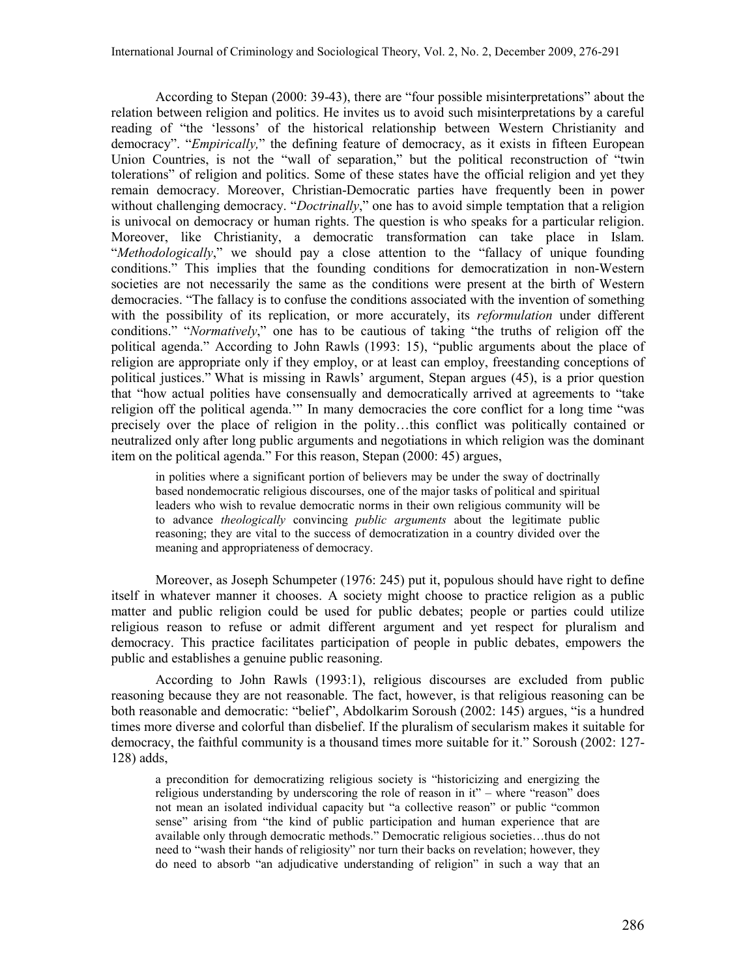According to Stepan (2000: 39-43), there are "four possible misinterpretations" about the relation between religion and politics. He invites us to avoid such misinterpretations by a careful reading of "the 'lessons' of the historical relationship between Western Christianity and democracy". "*Empirically,*" the defining feature of democracy, as it exists in fifteen European Union Countries, is not the "wall of separation," but the political reconstruction of "twin tolerations" of religion and politics. Some of these states have the official religion and yet they remain democracy. Moreover, Christian-Democratic parties have frequently been in power without challenging democracy. "*Doctrinally*," one has to avoid simple temptation that a religion is univoc[al on democracy or human rights. The question is who speaks for a](http://www.emory.edu/central/NEWS/emoryedge/pdf/witte_edge.pdf) particular religion. Moreover, like Christianity, a democratic transformation can take place in Islam. "*Methodologically*," we should pay a close attention to the "fallacy of unique founding conditions." This implies that the founding conditions for democratization in non-Western societies are not necessarily the same as the conditions were present at the birth of Western democracies. "The fallacy is to confuse the conditions associated with the invention of something with the possibility of its replication, or more accurately, its *reformulation* under different conditions." "*Normatively*," one has to be cautious of taking "the truths of religion off the political agenda." According to John Rawls (1993: 15), "public arguments about the place of religion are appropriate only if they employ, or at least can employ, freestanding conceptions of political justices." What is missing in Rawls' argument, Stepan argues (45), is a prior question that "how actual polities have consensually and democratically arrived at agreements to "take religion off the political agenda.'" In many democracies the core conflict for a long time "was precisely over the place of religion in the polity…this conflict was politically contained or neutralized only after long public arguments and negotiations in which religion was the dominant item on the political agenda." For this reason, Stepan (2000: 45) argues,

in polities where a significant portion of believers may be under the sway of doctrinally based nondemocratic religious discourses, one of the major tasks of political and spiritual leaders who wish to revalue democratic norms in their own religious community will be to advance *theologically* convincing *public arguments* about the legitimate public reasoning; they are vital to the success of democratization in a country divided over the meaning and appropriateness of democracy.

Moreover, as Joseph Schumpeter (1976: 245) put it, populous should have right to define itself in whatever manner it chooses. A society might choose to practice religion as a public matter and public religion could be used for public debates; people or parties could utilize religious reason to refuse or admit different argument and yet respect for pluralism and democracy. This practice facilitates participation of people in public debates, empowers the public and establishes a genuine public reasoning.

According to John Rawls (1993:1), religious discourses are excluded from public reasoning because they are not reasonable. The fact, however, is that religious reasoning can be both reasonable and democratic: "belief", Abdolkarim Soroush (2002: 145) argues, "is a hundred times more diverse and colorful than disbelief. If the pluralism of secularism makes it suitable for democracy, the faithful community is a thousand times more suitable for it." Soroush (2002: 127- 128) adds,

a precondition for democratizing religious society is "historicizing and energizing the religious understanding by underscoring the role of reason in it" – where "reason" does not mean an isolated individual capacity but "a collective reason" or public "common sense" arising from "the kind of public participation and human experience that are available only through democratic methods." Democratic religious societies…thus do not need to "wash their hands of religiosity" nor turn their backs on revelation; however, they do need to absorb "an adjudicative understanding of religion" in such a way that an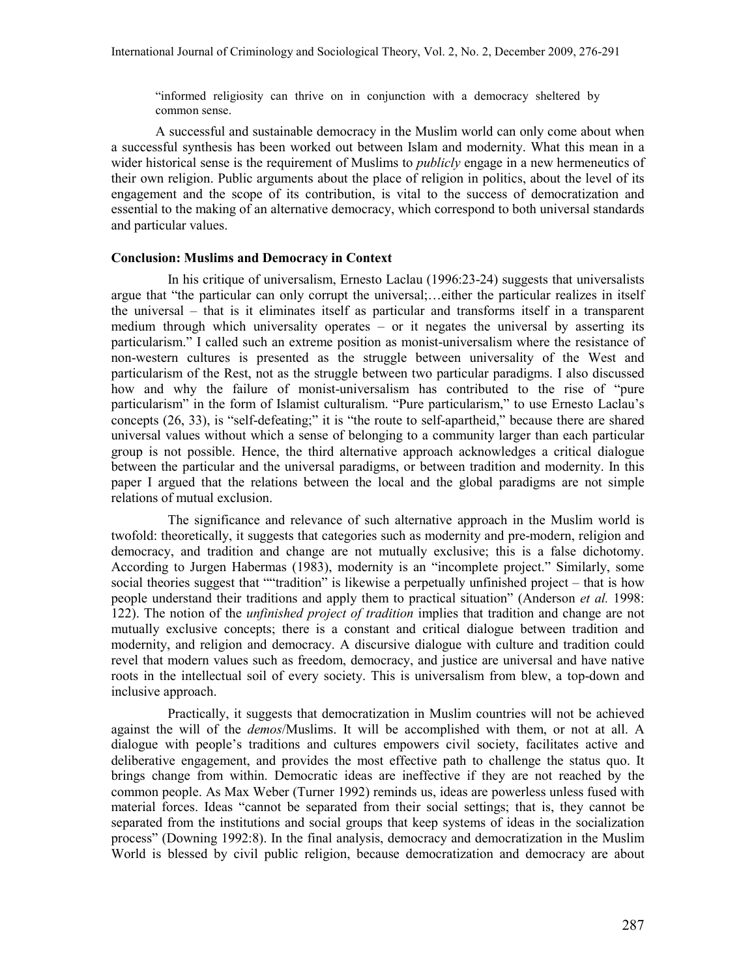"informed religiosity can thrive on in conjunction with a democracy sheltered by common sense.

A successful and sustainable democracy in the Muslim world can only come about when a successful synthesis has been worked out between Islam and modernity. What this mean in a wider historical sense is the requirement of Muslims to *publicly* engage in a new hermeneutics of their own religion. Public arguments about the place of religion in politics, about the level of its engagement and the scope of its contribution, is vital to the success of democratization and essential to the making of an alternative democracy, which correspond to both universal standards and particular values.

### **Conclusion: Muslims and Democracy in Context**

In his critique of universalism, Ernesto Laclau (1996:23-24) suggests that universalists argue that "the particular can only corrupt the universal;…either the particular realizes in itself the universal – that is it eliminates itself as particular and transforms itself in a transparent medium through which universality operates – or it negates the universal by asserting its particularism." I called such an extreme position as monist-universalism where the resistance of non-western cultures is presented as the struggle between universality of the West and particularism of the Rest, not as the struggle between two particular paradigms. I also discussed how and why the failure of monist-universalism has contributed to the rise of "pure particularism" in the form of Islamist culturalism. "Pure particularism," to use Ernesto Laclau's concepts (26, 33), is "self-defeating;" it is "the route to self-apartheid," because there are shared universal values without which a sense of belonging to a community larger than each particular group is not possible. Hence, the third alternative approach acknowledges a critical dialogue between the particular and the universal paradigms, or between tradition and modernity. In this paper I argued that the relations between the local and the global paradigms are not simple relations of mutual exclusion.

The significance and relevance of such alternative approach in the Muslim world is twofold: theoretically, it suggests that categories such as modernity and pre-modern, religion and democracy, and tradition and change are not mutually exclusive; this is a false dichotomy. According to Jurgen Habermas (1983), modernity is an "incomplete project." Similarly, some social theories suggest that ""tradition" is likewise a perpetually unfinished project – that is how people understand their traditions and apply them to practical situation" (Anderson *et al.* 1998: 122). The notion of the *unfinished project of tradition* implies that tradition and change are not mutually exclusive concepts; there is a constant and critical dialogue between tradition and modernity, and religion and democracy. A discursive dialogue with culture and tradition could revel that modern values such as freedom, democracy, and justice are universal and have native roots in the intellectual soil of every society. This is universalism from blew, a top-down and inclusive approach.

Practically, it suggests that democratization in Muslim countries will not be achieved against the will of the *demos*/Muslims. It will be accomplished with them, or not at all. A dialogue with people's traditions and cultures empowers civil society, facilitates active and deliberative engagement, and provides the most effective path to challenge the status quo. It brings change from within. Democratic ideas are ineffective if they are not reached by the common people. As Max Weber (Turner 1992) reminds us, ideas are powerless unless fused with material forces. Ideas "cannot be separated from their social settings; that is, they cannot be separated from the institutions and social groups that keep systems of ideas in the socialization process" (Downing 1992:8). In the final analysis, democracy and democratization in the Muslim World is blessed by civil public religion, because democratization and democracy are about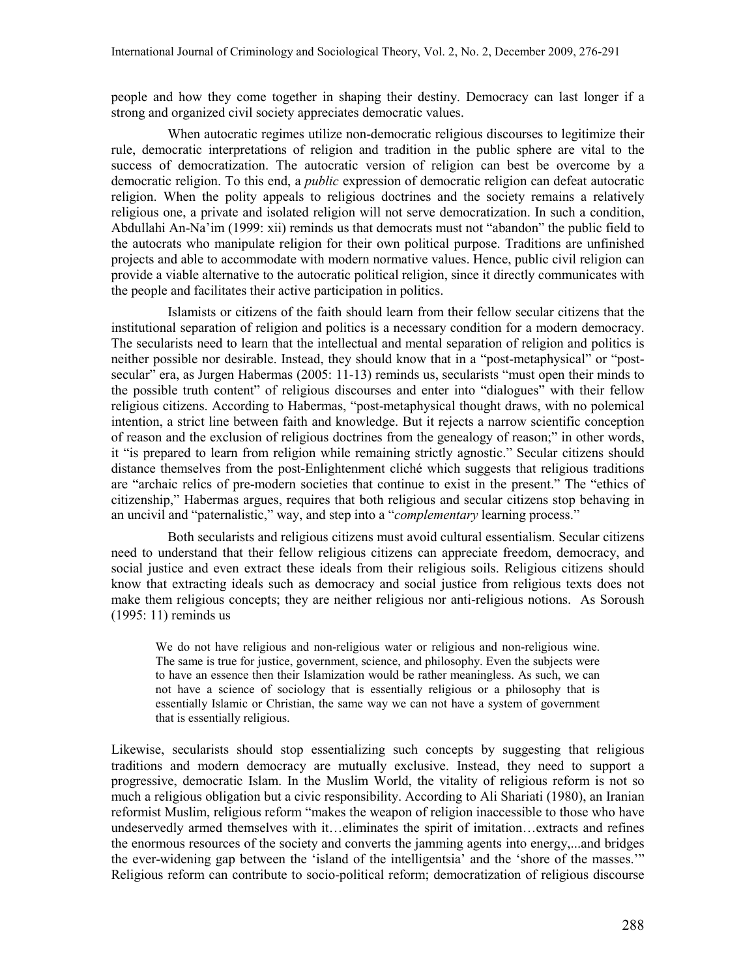people and how they come together in shaping their destiny. Democracy can last longer if a strong and organized civil society appreciates democratic values.

When autocratic regimes utilize non-democratic religious discourses to legitimize their rule, democratic interpretations of religion and tradition in the public sphere are vital to the success of democratization. The autocratic version of religion can best be overcome by a democratic religion. To this end, a *public* expression of democratic religion can defeat autocratic religion. When the polity appeals to religious doctrines and the society remains a relatively religious one, a private and isolated religion will not serve democratization. In such a condition, Abdullahi An-Na'im (1999: xii) reminds us that democrats must not "abandon" the public field to the autocrats who manipulate religion for their own political purpose. Traditions are unfinished projects and able to accommodate with modern normative values. Hence, public civil religion can provide a viable alternative to the autocratic political religion, since it directly communicates with the people and facilitates their active participation in politics.

Islamists or citizens of the faith should learn from their fellow secular citizens that the institutional separation of religion and politics is a necessary condition for a modern democracy. The secularists need to learn that the intellectual and mental separation of religion and politics is neither possible nor desirable. Instead, they should know that in a "post-metaphysical" or "postsecular" era, as Jurgen Habermas (2005: 11-13) reminds us, secularists "must open their minds to the possible truth content" of religious discourses and enter into "dialogues" with their fellow religious citizens. According to Habermas, "post-metaphysical thought draws, with no polemical intention, a strict line between faith and knowledge. But it rejects a narrow scientific conception of reason and the exclusion of religious doctrines from the genealogy of reason;" in other words, it "is prepared to learn from religion while remaining strictly agnostic." Secular citizens should distance themselves from the post-Enlightenment cliché which suggests that religious traditions are "archaic relics of pre-modern societies that continue to exist in the present." The "ethics of citizenship," Habermas argues, requires that both religious and secular citizens stop behaving in an uncivil and "paternalistic," way, and step into a "*complementary* learning process."

Both secularists and religious citizens must avoid cultural essentialism. Secular citizens need to understand that their fellow religious citizens can appreciate freedom, democracy, and social justice and even extract these ideals from their religious soils. Religious citizens should know that extracting ideals such as democracy and social justice from religious texts does not make them religious concepts; they are neither religious nor anti-religious notions. As Soroush (1995: 11) reminds us

We do not have religious and non-religious water or religious and non-religious wine. The same is true for justice, government, science, and philosophy. Even the subjects were to have an essence then their Islamization would be rather meaningless. As such, we can not have a science of sociology that is essentially religious or a philosophy that is essentially Islamic or Christian, the same way we can not have a system of government that is essentially religious.

Likewise, secularists should stop essentializing such concepts by suggesting that religious traditions and modern democracy are mutually exclusive. Instead, they need to support a progressive, democratic Islam. In the Muslim World, the vitality of religious reform is not so much a religious obligation but a civic responsibility. According to Ali Shariati (1980), an Iranian reformist Muslim, religious reform "makes the weapon of religion inaccessible to those who have undeservedly armed themselves with it…eliminates the spirit of imitation…extracts and refines the enormous resources of the society and converts the jamming agents into energy,...and bridges the ever-widening gap between the 'island of the intelligentsia' and the 'shore of the masses.'" Religious reform can contribute to socio-political reform; democratization of religious discourse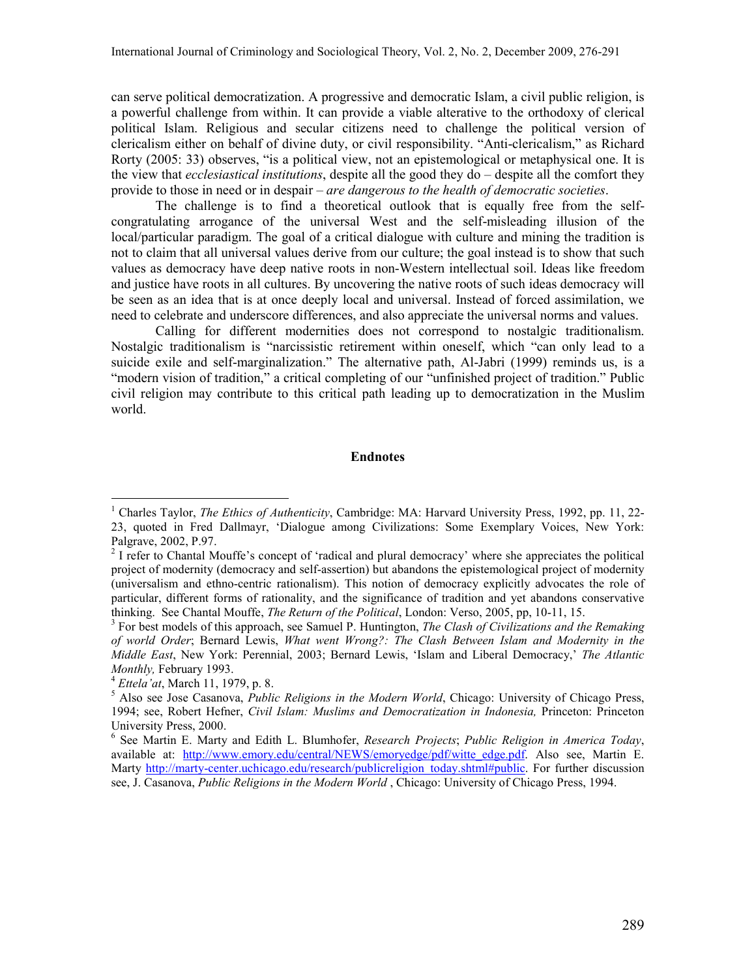<span id="page-13-0"></span>can serve political democratization. A progressive and democratic Islam, a civil public religion, is a powerful challenge from within. It can provide a viable alterative to the orthodoxy of clerical political Islam. Religious and secular citizens need to challenge the political version of clericalism either on behalf of divine duty, or civil responsibility. "Anti-clericalism," as Richard Rorty (2005: 33) observes, "is a political view, not an epistemological or metaphysical one. It is the view that *ecclesiastical institutions*, despite all the good they do – despite all the comfort they provide to those in need or in despair – *are dangerous to the health of democratic societies*.

The challenge is to find a theoretical outlook that is equally free from the selfcongratulating arrogance of the universal West and the self-misleading illusion of the local/particular paradigm. The goal of a critical dialogue with culture and mining the tradition is not to claim that all universal values derive from our culture; the goal instead is to show that such values as democracy have deep native roots in non-Western intellectual soil. Ideas like freedom and justice have roots in all cultures. By uncovering the native roots of such ideas democracy will be seen as an idea that is at once deeply local and universal. Instead of forced assimilation, we need to celebrate and underscore differences, and also appreciate the universal norms and values.

Calling for different modernities does not correspond to nostalgic traditionalism. Nostalgic traditionalism is "narcissistic retirement within oneself, which "can only lead to a suicide exile and self-marginalization." The alternative path, Al-Jabri (1999) reminds us, is a "modern vision of tradition," a critical completing of our "unfinished project of tradition." Public civil religion may contribute to this critical path leading up to democratization in the Muslim world.

#### **Endnotes**

 $\overline{a}$ 

<sup>&</sup>lt;sup>1</sup> Charles Taylor, *The Ethics of Authenticity*, Cambridge: MA: Harvard University Press, 1992, pp. 11, 22-23, quoted in Fred Dallmayr, 'Dialogue among Civilizations: Some Exemplary Voices, New York: Palgrave, 2002, P.97.

<sup>&</sup>lt;sup>2</sup> I refer to Chantal Mouffe's concept of 'radical and plural democracy' where she appreciates the political project of modernity (democracy and self-assertion) but abandons the epistemological project of modernity (universalism and ethno-centric rationalism). This notion of democracy explicitly advocates the role of particular, different forms of rationality, and the significance of tradition and yet abandons conservative thinking. See Chantal Mouffe, *The Return of the Political*, London: Verso, 2005, pp, 10-11, 15.

<sup>3</sup> For best models of this approach, see Samuel P. Huntington, *The Clash of Civilizations and the Remaking of world Order*; Bernard Lewis, *What went Wrong?: The Clash Between Islam and Modernity in the Middle East*, New York: Perennial, 2003; Bernard Lewis, 'Islam and Liberal Democracy,' *The Atlantic Monthly,* February 1993.

<sup>4</sup> *Ettela'at*, March 11, 1979, p. 8.

<sup>5</sup> Also see Jose Casanova, *Public Religions in the Modern World*, Chicago: University of Chicago Press, 1994; see, Robert Hefner, *Civil Islam: Muslims and Democratization in Indonesia,* Princeton: Princeton University Press, 2000.

<sup>6</sup> See Martin E. Marty and Edith L. Blumhofer, *Research Projects*; *Public Religion in America Today*, available at: http://www.emory.edu/central/NEWS/emoryedge/pdf/witte edge.pdf. Also see, Martin E. Marty [http://marty-center.uchicago.edu/research/publicreligion\\_today.shtml#public](http://marty-center.uchicago.edu/research/publicreligion_today.shtml#public). For further discussion see, J. Casanova, *Public Religions in the Modern World* , Chicago: University of Chicago Press, 1994.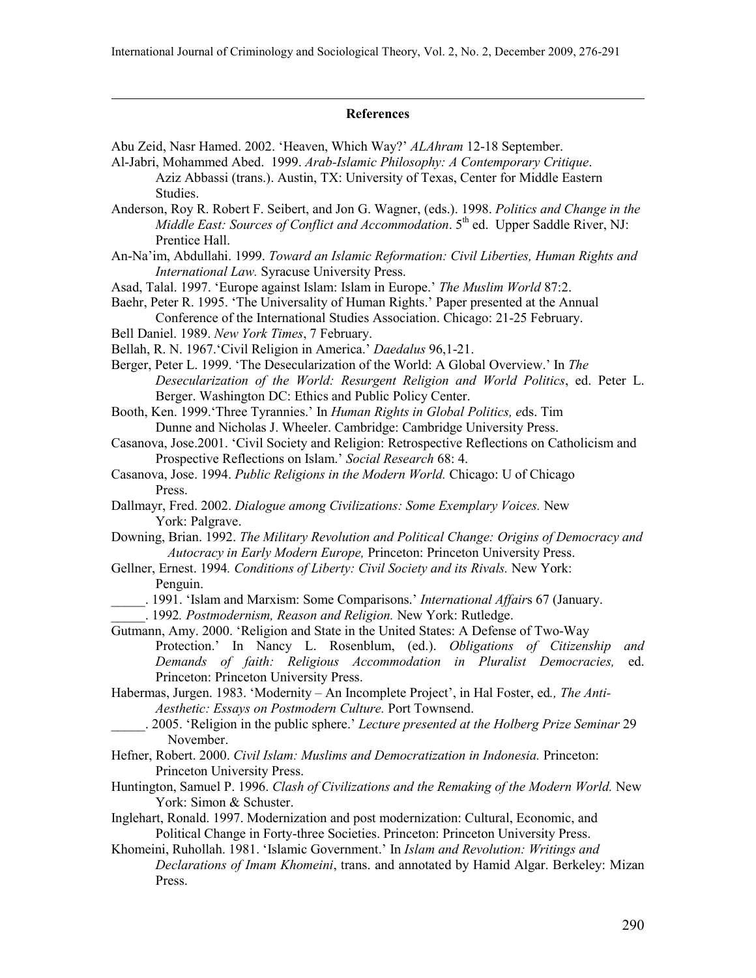#### **References**

- Abu Zeid, Nasr Hamed. 2002. 'Heaven, Which Way?' *ALAhram* 12-18 September.
- Al-Jabri, Mohammed Abed. 1999. *Arab-Islamic Philosophy: A Contemporary Critique*. Aziz Abbassi (trans.). Austin, TX: University of Texas, Center for Middle Eastern Studies.
- Anderson, Roy R. Robert F. Seibert, and Jon G. Wagner, (eds.). 1998. *Politics and Change in the Middle East: Sources of Conflict and Accommodation.* 5<sup>th</sup> ed. Upper Saddle River, NJ: Prentice Hall.
- An-Na'im, Abdullahi. 1999. *Toward an Islamic Reformation: Civil Liberties, Human Rights and International Law.* Syracuse University Press.
- Asad, Talal. 1997. 'Europe against Islam: Islam in Europe.' *The Muslim World* 87:2.

Baehr, Peter R. 1995. 'The Universality of Human Rights.' Paper presented at the Annual Conference of the International Studies Association. Chicago: 21-25 February.

Bell Daniel. 1989. *New York Times*, 7 February.

 $\overline{a}$ 

- Bellah, R. N. 1967.'Civil Religion in America.' *Daedalus* 96,1-21.
- Berger, Peter L. 1999. 'The Desecularization of the World: A Global Overview.' In *The Desecularization of the World: Resurgent Religion and World Politics*, ed. Peter L. Berger. Washington DC: Ethics and Public Policy Center.
- Booth, Ken. 1999.'Three Tyrannies.' In *Human Rights in Global Politics, e*ds. Tim Dunne and Nicholas J. Wheeler. Cambridge: Cambridge University Press.
- Casanova, Jose.2001. 'Civil Society and Religion: Retrospective Reflections on Catholicism and Prospective Reflections on Islam.' *Social Research* 68: 4.
- Casanova, Jose. 1994. *Public Religions in the Modern World.* Chicago: U of Chicago Press.
- Dallmayr, Fred. 2002. *Dialogue among Civilizations: Some Exemplary Voices.* New York: Palgrave.
- Downing, Brian. 1992. *The Military Revolution and Political Change: Origins of Democracy and Autocracy in Early Modern Europe,* Princeton: Princeton University Press.
- Gellner, Ernest. 1994*. Conditions of Liberty: Civil Society and its Rivals.* New York: Penguin.
- \_\_\_\_\_. 1991. 'Islam and Marxism: Some Comparisons.' *International Affair*s 67 (January.
- \_\_\_\_\_. 1992*. Postmodernism, Reason and Religion.* New York: Rutledge.
- Gutmann, Amy. 2000. 'Religion and State in the United States: A Defense of Two-Way Protection.' In Nancy L. Rosenblum, (ed.). *Obligations of Citizenship and Demands of faith: Religious Accommodation in Pluralist Democracies,* ed. Princeton: Princeton University Press.
- Habermas, Jurgen. 1983. 'Modernity An Incomplete Project', in Hal Foster, ed*., The Anti-Aesthetic: Essays on Postmodern Culture.* Port Townsend.
- \_\_\_\_\_. 2005. 'Religion in the public sphere.' *Lecture presented at the Holberg Prize Seminar* 29 November.
- Hefner, Robert. 2000. *Civil Islam: Muslims and Democratization in Indonesia.* Princeton: Princeton University Press.
- Huntington, Samuel P. 1996. *Clash of Civilizations and the Remaking of the Modern World.* New York: Simon & Schuster.
- Inglehart, Ronald. 1997. Modernization and post modernization: Cultural, Economic, and Political Change in Forty-three Societies. Princeton: Princeton University Press.
- Khomeini, Ruhollah. 1981. 'Islamic Government.' In *Islam and Revolution: Writings and Declarations of Imam Khomeini*, trans. and annotated by Hamid Algar. Berkeley: Mizan Press.